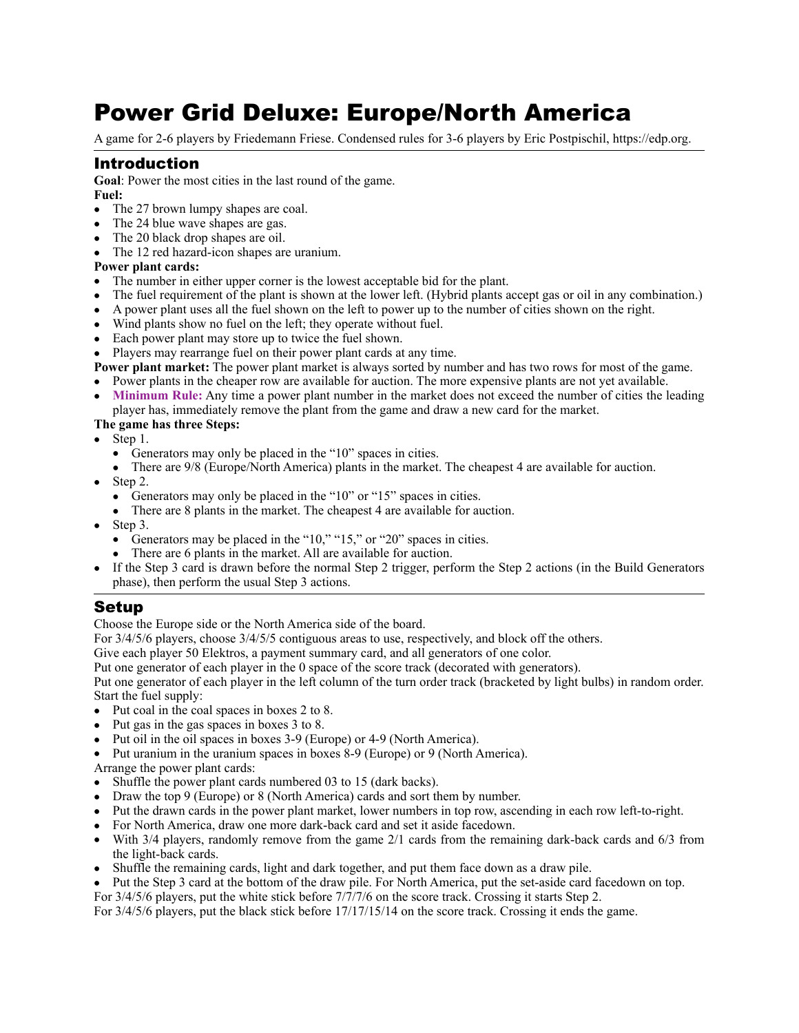# Power Grid Deluxe: Europe/North America

A game for 2-6 players by Friedemann Friese. Condensed rules for 3-6 players by Eric Postpischil, [https://edp.org.](https://edp.org)

# Introduction

**Goal**: Power the most cities in the last round of the game. **Fuel:** 

- The 27 brown lumpy shapes are coal.
- The 24 blue wave shapes are gas.
- The 20 black drop shapes are oil.
- The 12 red hazard-icon shapes are uranium.

#### **Power plant cards:**

- The number in either upper corner is the lowest acceptable bid for the plant.
- The fuel requirement of the plant is shown at the lower left. (Hybrid plants accept gas or oil in any combination.)
- A power plant uses all the fuel shown on the left to power up to the number of cities shown on the right.
- Wind plants show no fuel on the left; they operate without fuel.
- Each power plant may store up to twice the fuel shown.
- Players may rearrange fuel on their power plant cards at any time.

**Power plant market:** The power plant market is always sorted by number and has two rows for most of the game. • Power plants in the cheaper row are available for auction. The more expensive plants are not yet available.

• Minimum Rule: Any time a power plant number in the market does not exceed the number of cities the leading player has, immediately remove the plant from the game and draw a new card for the market.

#### **The game has three Steps:**

- Step 1.
	- Generators may only be placed in the "10" spaces in cities.
	- There are  $9/8$  (Europe/North America) plants in the market. The cheapest 4 are available for auction.
- Step 2.
	- Generators may only be placed in the "10" or "15" spaces in cities.
	- There are 8 plants in the market. The cheapest 4 are available for auction.
- Step 3.
	- Generators may be placed in the "10," "15," or "20" spaces in cities.
	- There are 6 plants in the market. All are available for auction.
- If the Step 3 card is drawn before the normal Step 2 trigger, perform the Step 2 actions (in the Build Generators phase), then perform the usual Step 3 actions.

# Setup

Choose the Europe side or the North America side of the board.

For 3/4/5/6 players, choose 3/4/5/5 contiguous areas to use, respectively, and block off the others.

Give each player 50 Elektros, a payment summary card, and all generators of one color.

Put one generator of each player in the 0 space of the score track (decorated with generators).

Put one generator of each player in the left column of the turn order track (bracketed by light bulbs) in random order. Start the fuel supply:

• Put coal in the coal spaces in boxes 2 to 8.

- Put gas in the gas spaces in boxes 3 to 8.
- Put oil in the oil spaces in boxes 3-9 (Europe) or 4-9 (North America).
- Put uranium in the uranium spaces in boxes 8-9 (Europe) or 9 (North America).
- Arrange the power plant cards:
- Shuffle the power plant cards numbered 03 to 15 (dark backs).
- Draw the top 9 (Europe) or 8 (North America) cards and sort them by number.
- Put the drawn cards in the power plant market, lower numbers in top row, ascending in each row left-to-right.
- For North America, draw one more dark-back card and set it aside facedown.
- With 3/4 players, randomly remove from the game 2/1 cards from the remaining dark-back cards and 6/3 from the light-back cards.
- Shuffle the remaining cards, light and dark together, and put them face down as a draw pile.
- Put the Step 3 card at the bottom of the draw pile. For North America, put the set-aside card facedown on top.

For 3/4/5/6 players, put the white stick before  $7/7/7/6$  on the score track. Crossing it starts Step 2.

For 3/4/5/6 players, put the black stick before 17/17/15/14 on the score track. Crossing it ends the game.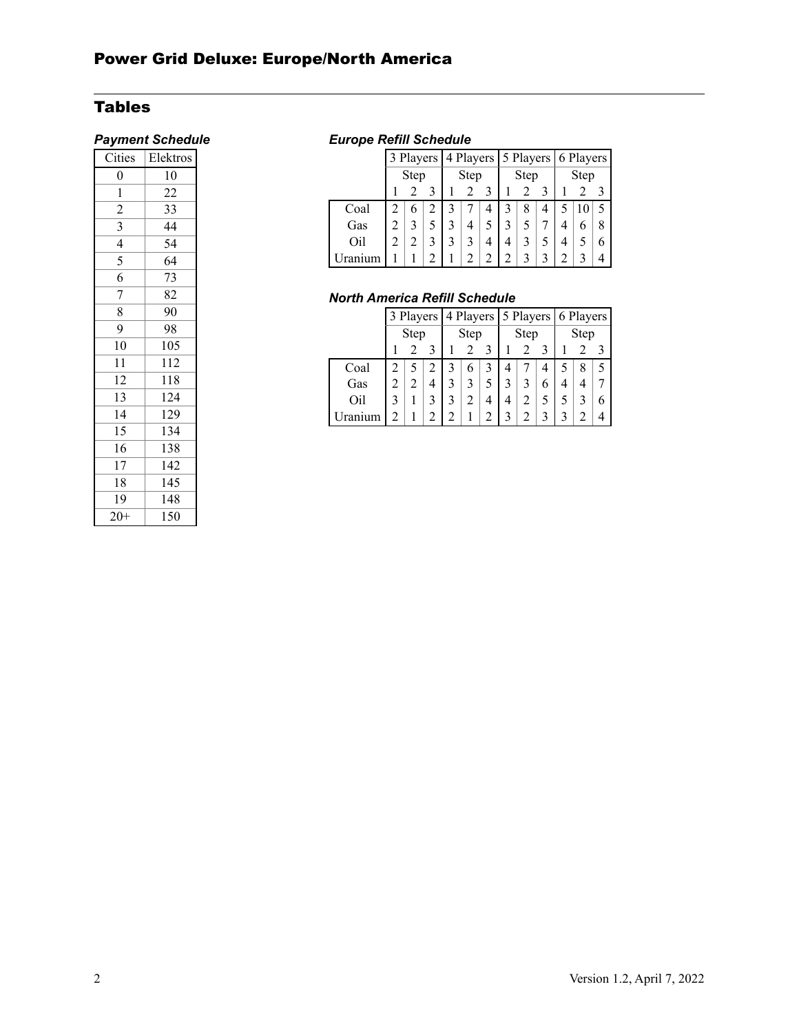# Tables

| $\overline{\overline{\text{Cities}}}$ | Elektros |  |  |  |  |  |
|---------------------------------------|----------|--|--|--|--|--|
| $\boldsymbol{0}$                      | 10       |  |  |  |  |  |
| 1                                     | 22       |  |  |  |  |  |
| $\overline{c}$                        | 33       |  |  |  |  |  |
| 3                                     | 44       |  |  |  |  |  |
| $\overline{\mathcal{L}}$              | 54       |  |  |  |  |  |
| 5                                     | 64       |  |  |  |  |  |
| 6                                     | 73       |  |  |  |  |  |
| 7                                     | 82       |  |  |  |  |  |
| 8                                     | 90       |  |  |  |  |  |
| 9                                     | 98       |  |  |  |  |  |
| 10                                    | 105      |  |  |  |  |  |
| 11                                    | 112      |  |  |  |  |  |
| 12                                    | 118      |  |  |  |  |  |
| 13                                    | 124      |  |  |  |  |  |
| 14                                    | 129      |  |  |  |  |  |
| 15                                    | 134      |  |  |  |  |  |
| 16                                    | 138      |  |  |  |  |  |
| 17                                    | 142      |  |  |  |  |  |
| 18                                    | 145      |  |  |  |  |  |
| 19                                    | 148      |  |  |  |  |  |
| $20+$                                 | 150      |  |  |  |  |  |

# *Payment Schedule Europe Refill Schedule*

|                    |      |  | 3 Players 4 Players 5 Players 6 Players |  |   |      |   |   |      |   |  |   |
|--------------------|------|--|-----------------------------------------|--|---|------|---|---|------|---|--|---|
|                    | Step |  | Step                                    |  |   | Step |   |   | Step |   |  |   |
|                    |      |  |                                         |  |   |      |   |   |      |   |  |   |
| Coal               |      |  | 2                                       |  |   |      | 3 | 8 | 4    |   |  | 5 |
| Gas                |      |  |                                         |  | 4 |      |   |   |      | 4 |  | 8 |
| Oil                | 2    |  |                                         |  | 3 |      | 4 |   |      |   |  | 6 |
| Uran<br><b>inm</b> |      |  |                                         |  | 2 |      |   |   |      |   |  |   |

# *North America Refill Schedule*

|      |      |   |      | 3 Players 4 Players 5 Players 6 Players |  |      |                |   |      |  |  |  |
|------|------|---|------|-----------------------------------------|--|------|----------------|---|------|--|--|--|
|      | Step |   | Step |                                         |  | Step |                |   | Step |  |  |  |
|      |      |   |      |                                         |  |      |                |   |      |  |  |  |
| Coal |      |   |      | 3                                       |  |      |                |   |      |  |  |  |
| Gas  |      | 2 |      |                                         |  |      |                |   | 6    |  |  |  |
| Oil  |      |   |      |                                         |  | 4    | $\overline{4}$ | 2 |      |  |  |  |
|      |      |   |      |                                         |  |      |                |   |      |  |  |  |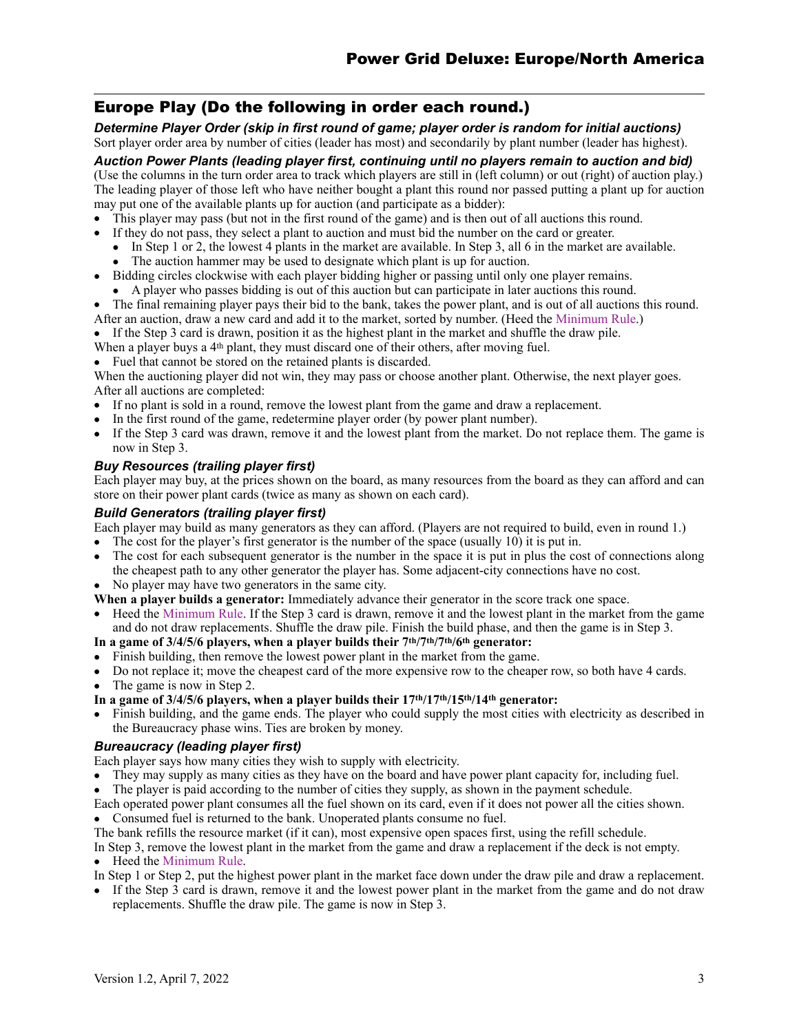# Europe Play (Do the following in order each round.)

*Determine Player Order (skip in first round of game; player order is random for initial auctions)*  Sort player order area by number of cities (leader has most) and secondarily by plant number (leader has highest).

*Auction Power Plants (leading player first, continuing until no players remain to auction and bid)* 

(Use the columns in the turn order area to track which players are still in (left column) or out (right) of auction play.) The leading player of those left who have neither bought a plant this round nor passed putting a plant up for auction may put one of the available plants up for auction (and participate as a bidder):

- This player may pass (but not in the first round of the game) and is then out of all auctions this round.
- If they do not pass, they select a plant to auction and must bid the number on the card or greater.
	- In Step 1 or 2, the lowest 4 plants in the market are available. In Step 3, all 6 in the market are available.
	- The auction hammer may be used to designate which plant is up for auction.
- Bidding circles clockwise with each player bidding higher or passing until only one player remains.
	- A player who passes bidding is out of this auction but can participate in later auctions this round.
- The final remaining player pays their bid to the bank, takes the power plant, and is out of all auctions this round.
- After an auction, draw a new card and add it to the market, sorted by number. (Heed the Minimum Rule.)
- If the Step 3 card is drawn, position it as the highest plant in the market and shuffle the draw pile.

When a player buys a 4<sup>th</sup> plant, they must discard one of their others, after moving fuel.

• Fuel that cannot be stored on the retained plants is discarded.

When the auctioning player did not win, they may pass or choose another plant. Otherwise, the next player goes. After all auctions are completed:

- If no plant is sold in a round, remove the lowest plant from the game and draw a replacement.
- In the first round of the game, redetermine player order (by power plant number).
- If the Step 3 card was drawn, remove it and the lowest plant from the market. Do not replace them. The game is now in Step 3.

#### *Buy Resources (trailing player first)*

Each player may buy, at the prices shown on the board, as many resources from the board as they can afford and can store on their power plant cards (twice as many as shown on each card).

#### *Build Generators (trailing player first)*

Each player may build as many generators as they can afford. (Players are not required to build, even in round 1.)

- The cost for the player's first generator is the number of the space (usually 10) it is put in.
- The cost for each subsequent generator is the number in the space it is put in plus the cost of connections along the cheapest path to any other generator the player has. Some adjacent-city connections have no cost.
- No player may have two generators in the same city.
- **When a player builds a generator:** Immediately advance their generator in the score track one space.
- Heed the Minimum Rule. If the Step 3 card is drawn, remove it and the lowest plant in the market from the game and do not draw replacements. Shuffle the draw pile. Finish the build phase, and then the game is in Step 3.

# **In a game of 3/4/5/6 players, when a player builds their 7th/7th/7th/6th generator:**

- Finish building, then remove the lowest power plant in the market from the game.
- Do not replace it; move the cheapest card of the more expensive row to the cheaper row, so both have 4 cards.
- The game is now in Step 2.

#### In a game of 3/4/5/6 players, when a player builds their  $17<sup>th</sup>/17<sup>th</sup>/15<sup>th</sup>/14<sup>th</sup>$  generator:

• Finish building, and the game ends. The player who could supply the most cities with electricity as described in the Bureaucracy phase wins. Ties are broken by money.

#### *Bureaucracy (leading player first)*

Each player says how many cities they wish to supply with electricity.

- They may supply as many cities as they have on the board and have power plant capacity for, including fuel.
- The player is paid according to the number of cities they supply, as shown in the payment schedule.
- Each operated power plant consumes all the fuel shown on its card, even if it does not power all the cities shown. • Consumed fuel is returned to the bank. Unoperated plants consume no fuel.
- The bank refills the resource market (if it can), most expensive open spaces first, using the refill schedule.
- In Step 3, remove the lowest plant in the market from the game and draw a replacement if the deck is not empty. • Heed the Minimum Rule.
- In Step 1 or Step 2, put the highest power plant in the market face down under the draw pile and draw a replacement.
- If the Step 3 card is drawn, remove it and the lowest power plant in the market from the game and do not draw replacements. Shuffle the draw pile. The game is now in Step 3.